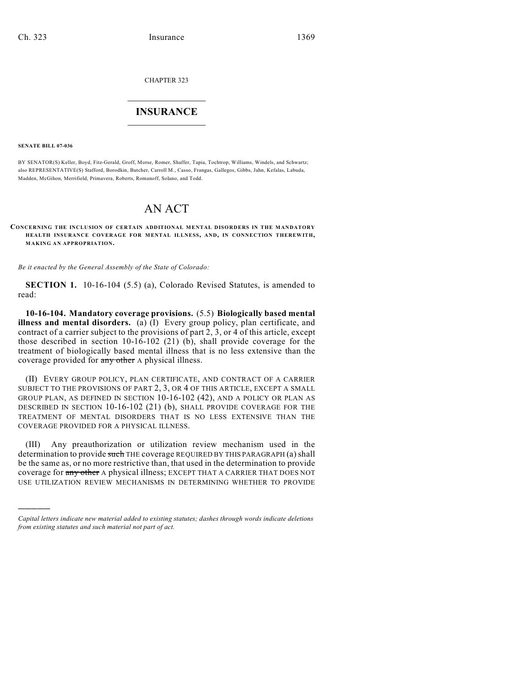CHAPTER 323

## $\overline{\phantom{a}}$  . The set of the set of the set of the set of the set of the set of the set of the set of the set of the set of the set of the set of the set of the set of the set of the set of the set of the set of the set o **INSURANCE**  $\frac{1}{2}$  ,  $\frac{1}{2}$  ,  $\frac{1}{2}$  ,  $\frac{1}{2}$  ,  $\frac{1}{2}$  ,  $\frac{1}{2}$  ,  $\frac{1}{2}$

**SENATE BILL 07-036**

)))))

BY SENATOR(S) Keller, Boyd, Fitz-Gerald, Groff, Morse, Romer, Shaffer, Tapia, Tochtrop, Williams, Windels, and Schwartz; also REPRESENTATIVE(S) Stafford, Borodkin, Butcher, Carroll M., Casso, Frangas, Gallegos, Gibbs, Jahn, Kefalas, Labuda, Madden, McGihon, Merrifield, Primavera, Roberts, Romanoff, Solano, and Todd.

## AN ACT

**CONCERNING THE INCLUSION OF CERTAIN ADDITIONAL MENTAL DISORDERS IN THE MANDATORY HEALTH INSURANCE COVERAGE FOR MENTAL ILLNESS, AND, IN CONNECTION THEREWITH, MAKING AN APPROPRIATION.**

*Be it enacted by the General Assembly of the State of Colorado:*

**SECTION 1.** 10-16-104 (5.5) (a), Colorado Revised Statutes, is amended to read:

**10-16-104. Mandatory coverage provisions.** (5.5) **Biologically based mental illness and mental disorders.** (a) (I) Every group policy, plan certificate, and contract of a carrier subject to the provisions of part 2, 3, or 4 of this article, except those described in section 10-16-102 (21) (b), shall provide coverage for the treatment of biologically based mental illness that is no less extensive than the coverage provided for any other A physical illness.

(II) EVERY GROUP POLICY, PLAN CERTIFICATE, AND CONTRACT OF A CARRIER SUBJECT TO THE PROVISIONS OF PART 2, 3, OR 4 OF THIS ARTICLE, EXCEPT A SMALL GROUP PLAN, AS DEFINED IN SECTION 10-16-102 (42), AND A POLICY OR PLAN AS DESCRIBED IN SECTION 10-16-102 (21) (b), SHALL PROVIDE COVERAGE FOR THE TREATMENT OF MENTAL DISORDERS THAT IS NO LESS EXTENSIVE THAN THE COVERAGE PROVIDED FOR A PHYSICAL ILLNESS.

(III) Any preauthorization or utilization review mechanism used in the determination to provide such THE coverage REQUIRED BY THIS PARAGRAPH (a) shall be the same as, or no more restrictive than, that used in the determination to provide coverage for any other A physical illness; EXCEPT THAT A CARRIER THAT DOES NOT USE UTILIZATION REVIEW MECHANISMS IN DETERMINING WHETHER TO PROVIDE

*Capital letters indicate new material added to existing statutes; dashes through words indicate deletions from existing statutes and such material not part of act.*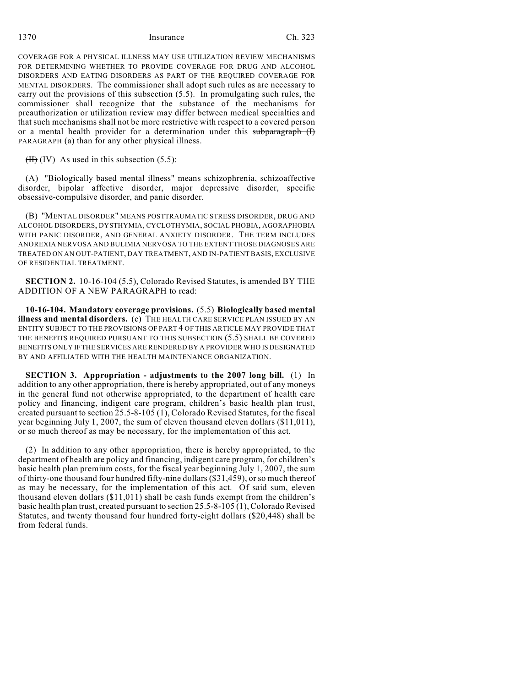1370 Insurance Ch. 323

COVERAGE FOR A PHYSICAL ILLNESS MAY USE UTILIZATION REVIEW MECHANISMS FOR DETERMINING WHETHER TO PROVIDE COVERAGE FOR DRUG AND ALCOHOL DISORDERS AND EATING DISORDERS AS PART OF THE REQUIRED COVERAGE FOR MENTAL DISORDERS. The commissioner shall adopt such rules as are necessary to carry out the provisions of this subsection (5.5). In promulgating such rules, the commissioner shall recognize that the substance of the mechanisms for preauthorization or utilization review may differ between medical specialties and that such mechanisms shall not be more restrictive with respect to a covered person or a mental health provider for a determination under this subparagraph (I) PARAGRAPH (a) than for any other physical illness.

 $(H)$  (IV) As used in this subsection (5.5):

(A) "Biologically based mental illness" means schizophrenia, schizoaffective disorder, bipolar affective disorder, major depressive disorder, specific obsessive-compulsive disorder, and panic disorder.

(B) "MENTAL DISORDER" MEANS POSTTRAUMATIC STRESS DISORDER, DRUG AND ALCOHOL DISORDERS, DYSTHYMIA, CYCLOTHYMIA, SOCIAL PHOBIA, AGORAPHOBIA WITH PANIC DISORDER, AND GENERAL ANXIETY DISORDER. THE TERM INCLUDES ANOREXIA NERVOSA AND BULIMIA NERVOSA TO THE EXTENT THOSE DIAGNOSES ARE TREATED ON AN OUT-PATIENT, DAY TREATMENT, AND IN-PATIENT BASIS, EXCLUSIVE OF RESIDENTIAL TREATMENT.

**SECTION 2.** 10-16-104 (5.5), Colorado Revised Statutes, is amended BY THE ADDITION OF A NEW PARAGRAPH to read:

**10-16-104. Mandatory coverage provisions.** (5.5) **Biologically based mental illness and mental disorders.** (c) THE HEALTH CARE SERVICE PLAN ISSUED BY AN ENTITY SUBJECT TO THE PROVISIONS OF PART 4 OF THIS ARTICLE MAY PROVIDE THAT THE BENEFITS REQUIRED PURSUANT TO THIS SUBSECTION (5.5) SHALL BE COVERED BENEFITS ONLY IF THE SERVICES ARE RENDERED BY A PROVIDER WHO IS DESIGNATED BY AND AFFILIATED WITH THE HEALTH MAINTENANCE ORGANIZATION.

**SECTION 3. Appropriation - adjustments to the 2007 long bill.** (1) In addition to any other appropriation, there is hereby appropriated, out of any moneys in the general fund not otherwise appropriated, to the department of health care policy and financing, indigent care program, children's basic health plan trust, created pursuant to section 25.5-8-105 (1), Colorado Revised Statutes, for the fiscal year beginning July 1, 2007, the sum of eleven thousand eleven dollars (\$11,011), or so much thereof as may be necessary, for the implementation of this act.

(2) In addition to any other appropriation, there is hereby appropriated, to the department of health are policy and financing, indigent care program, for children's basic health plan premium costs, for the fiscal year beginning July 1, 2007, the sum of thirty-one thousand four hundred fifty-nine dollars (\$31,459), or so much thereof as may be necessary, for the implementation of this act. Of said sum, eleven thousand eleven dollars (\$11,011) shall be cash funds exempt from the children's basic health plan trust, created pursuant to section 25.5-8-105 (1), Colorado Revised Statutes, and twenty thousand four hundred forty-eight dollars (\$20,448) shall be from federal funds.